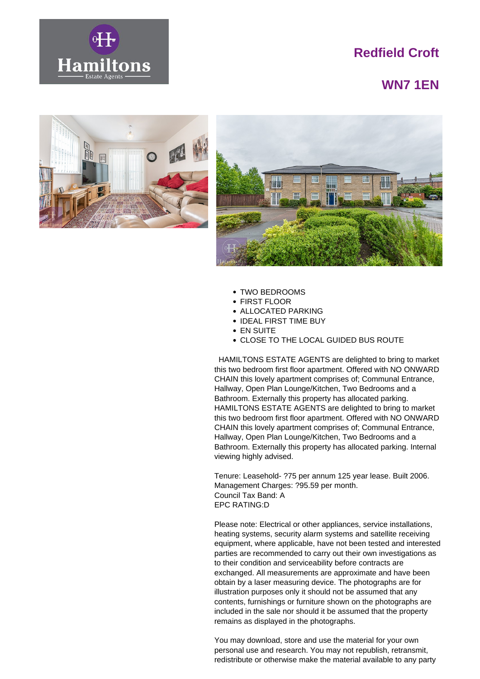

## **Redfield Croft**

## **WN7 1EN**





- TWO BEDROOMS
- FIRST FLOOR
- ALLOCATED PARKING
- IDEAL FIRST TIME BUY
- EN SUITE
- CLOSE TO THE LOCAL GUIDED BUS ROUTE

 HAMILTONS ESTATE AGENTS are delighted to bring to market this two bedroom first floor apartment. Offered with NO ONWARD CHAIN this lovely apartment comprises of; Communal Entrance, Hallway, Open Plan Lounge/Kitchen, Two Bedrooms and a Bathroom. Externally this property has allocated parking. HAMILTONS ESTATE AGENTS are delighted to bring to market this two bedroom first floor apartment. Offered with NO ONWARD CHAIN this lovely apartment comprises of; Communal Entrance, Hallway, Open Plan Lounge/Kitchen, Two Bedrooms and a Bathroom. Externally this property has allocated parking. Internal viewing highly advised.

Tenure: Leasehold- ?75 per annum 125 year lease. Built 2006. Management Charges: ?95.59 per month. Council Tax Band: A EPC RATING:D

Please note: Electrical or other appliances, service installations, heating systems, security alarm systems and satellite receiving equipment, where applicable, have not been tested and interested parties are recommended to carry out their own investigations as to their condition and serviceability before contracts are exchanged. All measurements are approximate and have been obtain by a laser measuring device. The photographs are for illustration purposes only it should not be assumed that any contents, furnishings or furniture shown on the photographs are included in the sale nor should it be assumed that the property remains as displayed in the photographs.

You may download, store and use the material for your own personal use and research. You may not republish, retransmit, redistribute or otherwise make the material available to any party